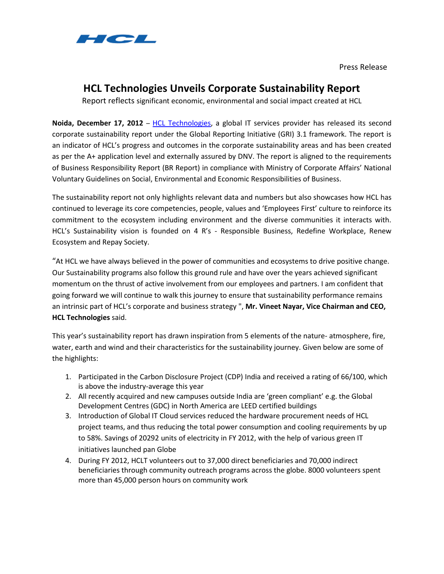

Press Release

## **HCL Technologies Unveils Corporate Sustainability Report**

Report reflects significant economic, environmental and social impact created at HCL

**Noida, December 17, 2012** – [HCL Technologies,](http://www.hcltech.com/) a global IT services provider has released its second corporate sustainability report under the Global Reporting Initiative (GRI) 3.1 framework. The report is an indicator of HCL's progress and outcomes in the corporate sustainability areas and has been created as per the A+ application level and externally assured by DNV. The report is aligned to the requirements of Business Responsibility Report (BR Report) in compliance with Ministry of Corporate Affairs' National Voluntary Guidelines on Social, Environmental and Economic Responsibilities of Business.

The sustainability report not only highlights relevant data and numbers but also showcases how HCL has continued to leverage its core competencies, people, values and 'Employees First' culture to reinforce its commitment to the ecosystem including environment and the diverse communities it interacts with. HCL's Sustainability vision is founded on 4 R's - Responsible Business, Redefine Workplace, Renew Ecosystem and Repay Society.

"At HCL we have always believed in the power of communities and ecosystems to drive positive change. Our Sustainability programs also follow this ground rule and have over the years achieved significant momentum on the thrust of active involvement from our employees and partners. I am confident that going forward we will continue to walk this journey to ensure that sustainability performance remains an intrinsic part of HCL's corporate and business strategy ", **Mr. Vineet Nayar, Vice Chairman and CEO, HCL Technologies** said.

This year's sustainability report has drawn inspiration from 5 elements of the nature- atmosphere, fire, water, earth and wind and their characteristics for the sustainability journey. Given below are some of the highlights:

- 1. Participated in the Carbon Disclosure Project (CDP) India and received a rating of 66/100, which is above the industry-average this year
- 2. All recently acquired and new campuses outside India are 'green compliant' e.g. the Global Development Centres (GDC) in North America are LEED certified buildings
- 3. Introduction of Global IT Cloud services reduced the hardware procurement needs of HCL project teams, and thus reducing the total power consumption and cooling requirements by up to 58%. Savings of 20292 units of electricity in FY 2012, with the help of various green IT initiatives launched pan Globe
- 4. During FY 2012, HCLT volunteers out to 37,000 direct beneficiaries and 70,000 indirect beneficiaries through community outreach programs across the globe. 8000 volunteers spent more than 45,000 person hours on community work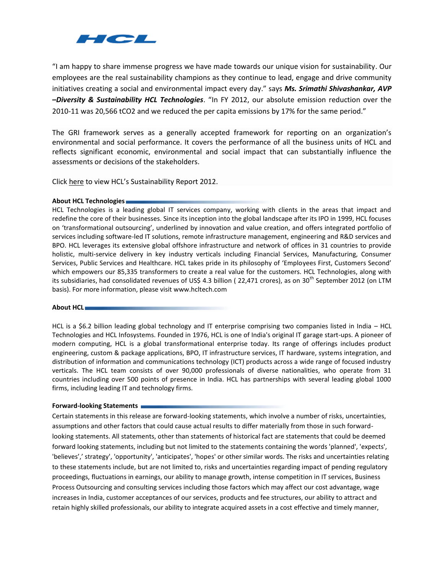

"I am happy to share immense progress we have made towards our unique vision for sustainability. Our employees are the real sustainability champions as they continue to lead, engage and drive community initiatives creating a social and environmental impact every day." says *Ms. Srimathi Shivashankar, AVP –Diversity & Sustainability HCL Technologies*. "In FY 2012, our absolute emission reduction over the 2010-11 was 20,566 tCO2 and we reduced the per capita emissions by 17% for the same period."

The GRI framework serves as a generally accepted framework for reporting on an organization's environmental and social performance. It covers the performance of all the business units of HCL and reflects significant economic, environmental and social impact that can substantially influence the assessments or decisions of the stakeholders.

Click [here](http://www.hcltech.com/sites/default/files/sustainability-report_2012.pdf) to view HCL's Sustainability Report 2012.

## **About HCL Technologies**

HCL Technologies is a leading global IT services company, working with clients in the areas that impact and redefine the core of their businesses. Since its inception into the global landscape after its IPO in 1999, HCL focuses on 'transformational outsourcing', underlined by innovation and value creation, and offers integrated portfolio of services including software-led IT solutions, remote infrastructure management, engineering and R&D services and BPO. HCL leverages its extensive global offshore infrastructure and network of offices in 31 countries to provide holistic, multi-service delivery in key industry verticals including Financial Services, Manufacturing, Consumer Services, Public Services and Healthcare. HCL takes pride in its philosophy of 'Employees First, Customers Second' which empowers our 85,335 transformers to create a real value for the customers. HCL Technologies, along with its subsidiaries, had consolidated revenues of US\$ 4.3 billion (22,471 crores), as on 30<sup>th</sup> September 2012 (on LTM basis). For more information, please visit www.hcltech.com

## **About HCL**

HCL is a \$6.2 billion leading global technology and IT enterprise comprising two companies listed in India – HCL Technologies and HCL Infosystems. Founded in 1976, HCL is one of India's original IT garage start-ups. A pioneer of modern computing, HCL is a global transformational enterprise today. Its range of offerings includes product engineering, custom & package applications, BPO, IT infrastructure services, IT hardware, systems integration, and distribution of information and communications technology (ICT) products across a wide range of focused industry verticals. The HCL team consists of over 90,000 professionals of diverse nationalities, who operate from 31 countries including over 500 points of presence in India. HCL has partnerships with several leading global 1000 firms, including leading IT and technology firms.

## **Forward-looking Statements**

Certain statements in this release are forward-looking statements, which involve a number of risks, uncertainties, assumptions and other factors that could cause actual results to differ materially from those in such forwardlooking statements. All statements, other than statements of historical fact are statements that could be deemed forward looking statements, including but not limited to the statements containing the words 'planned', 'expects', 'believes',' strategy', 'opportunity', 'anticipates', 'hopes' or other similar words. The risks and uncertainties relating to these statements include, but are not limited to, risks and uncertainties regarding impact of pending regulatory proceedings, fluctuations in earnings, our ability to manage growth, intense competition in IT services, Business Process Outsourcing and consulting services including those factors which may affect our cost advantage, wage increases in India, customer acceptances of our services, products and fee structures, our ability to attract and retain highly skilled professionals, our ability to integrate acquired assets in a cost effective and timely manner,